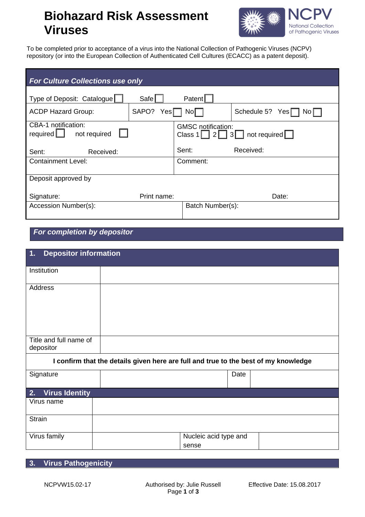## **Biohazard Risk Assessment Viruses**



To be completed prior to acceptance of a virus into the National Collection of Pathogenic Viruses (NCPV) repository (or into the European Collection of Authenticated Cell Cultures (ECACC) as a patent deposit).

| <b>For Culture Collections use only</b>                |               |                           |                                                                                         |
|--------------------------------------------------------|---------------|---------------------------|-----------------------------------------------------------------------------------------|
| Type of Deposit: Catalogue                             | Safel         | Patent                    |                                                                                         |
| <b>ACDP Hazard Group:</b>                              | SAPO?<br>Yesl | Nol                       | Schedule 5?<br>Yes[<br>NO I                                                             |
| CBA-1 notification:<br>required $\Box$<br>not required |               | <b>GMSC</b> notification: | Class 1   $\begin{array}{ c c c c c c } \hline 2 & 3 & \text{not required} \end{array}$ |
| Sent:<br>Received:                                     |               | Sent:                     | Received:                                                                               |
| <b>Containment Level:</b>                              |               | Comment:                  |                                                                                         |
| Deposit approved by                                    |               |                           |                                                                                         |
| Signature:                                             | Print name:   |                           | Date:                                                                                   |
| Accession Number(s):                                   |               | Batch Number(s):          |                                                                                         |

*For completion by depositor*

| <b>Depositor information</b><br>1.  |                                                                                     |                       |  |
|-------------------------------------|-------------------------------------------------------------------------------------|-----------------------|--|
| Institution                         |                                                                                     |                       |  |
| Address                             |                                                                                     |                       |  |
| Title and full name of<br>depositor |                                                                                     |                       |  |
|                                     | I confirm that the details given here are full and true to the best of my knowledge |                       |  |
| Signature                           |                                                                                     | Date                  |  |
| <b>Virus Identity</b><br>2.         |                                                                                     |                       |  |
| Virus name                          |                                                                                     |                       |  |
| <b>Strain</b>                       |                                                                                     |                       |  |
| Virus family                        | sense                                                                               | Nucleic acid type and |  |

## **3. Virus Pathogenicity**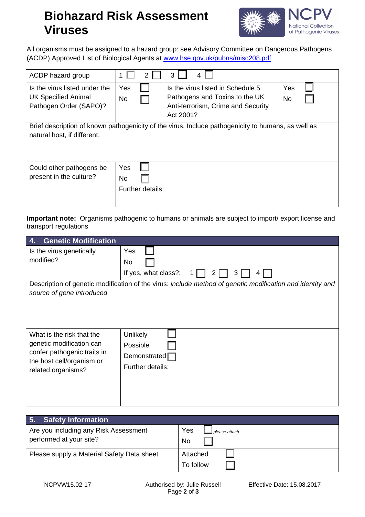## **Biohazard Risk Assessment Viruses**



All organisms must be assigned to a hazard group: see Advisory Committee on Dangerous Pathogens (ACDP) Approved List of Biological Agents at [www.hse.gov.uk/pubns/misc208.pdf](http://www.hse.gov.uk/pubns/misc208.pdf) 

| ACDP hazard group                                                                                                                 | 2                                    | 3<br>4                                                                                                                 |                  |
|-----------------------------------------------------------------------------------------------------------------------------------|--------------------------------------|------------------------------------------------------------------------------------------------------------------------|------------------|
| Is the virus listed under the<br><b>UK Specified Animal</b><br>Pathogen Order (SAPO)?                                             | Yes<br><b>No</b>                     | Is the virus listed in Schedule 5<br>Pathogens and Toxins to the UK<br>Anti-terrorism, Crime and Security<br>Act 2001? | Yes<br><b>No</b> |
| Brief description of known pathogenicity of the virus. Include pathogenicity to humans, as well as<br>natural host, if different. |                                      |                                                                                                                        |                  |
| Could other pathogens be<br>present in the culture?                                                                               | Yes<br><b>No</b><br>Further details: |                                                                                                                        |                  |

**Important note:** Organisms pathogenic to humans or animals are subject to import/ export license and transport regulations

| <b>Genetic Modification</b><br>4.                                                                                                       |                                                                                                                                                                                   |
|-----------------------------------------------------------------------------------------------------------------------------------------|-----------------------------------------------------------------------------------------------------------------------------------------------------------------------------------|
| Is the virus genetically<br>modified?<br>source of gene introduced                                                                      | Yes<br>N <sub>o</sub><br>If yes, what class?:<br>3<br>2<br>$4 \cdot$<br>Description of genetic modification of the virus: include method of genetic modification and identity and |
| What is the risk that the<br>genetic modification can<br>confer pathogenic traits in<br>the host cell/organism or<br>related organisms? | Unlikely<br>Possible<br>Demonstrated<br>Further details:                                                                                                                          |

| 5. Safety Information                      |                        |
|--------------------------------------------|------------------------|
| Are you including any Risk Assessment      | Yes<br>I please attach |
| performed at your site?                    | No.                    |
| Please supply a Material Safety Data sheet | Attached               |
|                                            | To follow              |